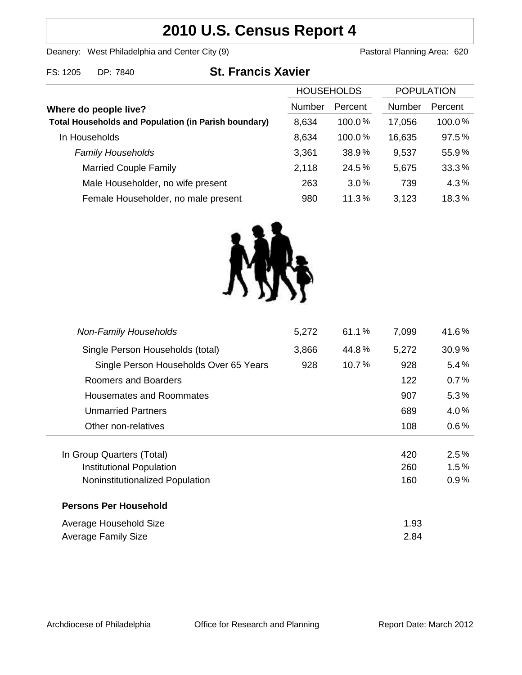# **2010 U.S. Census Report 4**

Deanery: West Philadelphia and Center City (9) Deanery: West Philadelphia and Center City (9)

| FS: 1205<br>DP: 7840 | <b>St. Francis Xavier</b> |
|----------------------|---------------------------|
|                      |                           |

| <b>HOUSEHOLDS</b>                                           |               | <b>POPULATION</b> |               |         |
|-------------------------------------------------------------|---------------|-------------------|---------------|---------|
| Where do people live?                                       | <b>Number</b> | Percent           | <b>Number</b> | Percent |
| <b>Total Households and Population (in Parish boundary)</b> | 8,634         | 100.0%            | 17,056        | 100.0%  |
| In Households                                               | 8,634         | 100.0%            | 16,635        | 97.5%   |
| <b>Family Households</b>                                    | 3,361         | 38.9%             | 9,537         | 55.9%   |
| <b>Married Couple Family</b>                                | 2,118         | 24.5%             | 5,675         | 33.3%   |
| Male Householder, no wife present                           | 263           | 3.0%              | 739           | 4.3%    |
| Female Householder, no male present                         | 980           | 11.3%             | 3,123         | 18.3%   |



| 5,272 | 61.1%    | 7,099 | 41.6%   |
|-------|----------|-------|---------|
| 3,866 | 44.8%    | 5,272 | 30.9%   |
| 928   | $10.7\%$ | 928   | $5.4\%$ |
|       |          | 122   | 0.7%    |
|       |          | 907   | $5.3\%$ |
|       |          | 689   | $4.0\%$ |
|       |          | 108   | $0.6\%$ |
|       |          |       |         |
|       |          | 420   | 2.5%    |
|       |          | 260   | 1.5%    |
|       |          | 160   | 0.9%    |
|       |          |       |         |
|       |          | 1.93  |         |
|       |          | 2.84  |         |
|       |          |       |         |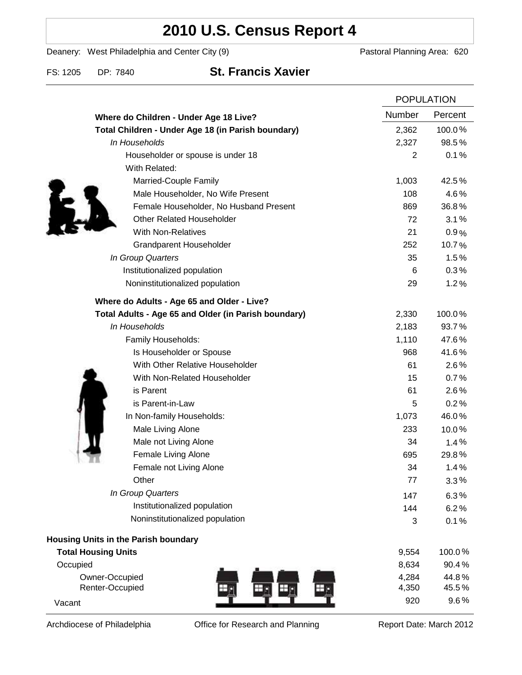# **2010 U.S. Census Report 4**

Deanery: West Philadelphia and Center City (9) Deanery: West Philadelphia and Center City (9)

FS: 1205 DP: 7840 **St. Francis Xavier**

|                                                      | <b>POPULATION</b> |         |
|------------------------------------------------------|-------------------|---------|
| Where do Children - Under Age 18 Live?               | Number            | Percent |
| Total Children - Under Age 18 (in Parish boundary)   | 2,362             | 100.0%  |
| In Households                                        | 2,327             | 98.5%   |
| Householder or spouse is under 18                    | 2                 | 0.1%    |
| With Related:                                        |                   |         |
| Married-Couple Family                                | 1,003             | 42.5%   |
| Male Householder, No Wife Present                    | 108               | 4.6%    |
| Female Householder, No Husband Present               | 869               | 36.8%   |
| <b>Other Related Householder</b>                     | 72                | 3.1%    |
| <b>With Non-Relatives</b>                            | 21                | 0.9%    |
| <b>Grandparent Householder</b>                       | 252               | 10.7%   |
| In Group Quarters                                    | 35                | 1.5%    |
| Institutionalized population                         | 6                 | 0.3%    |
| Noninstitutionalized population                      | 29                | 1.2%    |
| Where do Adults - Age 65 and Older - Live?           |                   |         |
| Total Adults - Age 65 and Older (in Parish boundary) | 2,330             | 100.0%  |
| In Households                                        | 2,183             | 93.7%   |
| Family Households:                                   | 1,110             | 47.6%   |
| Is Householder or Spouse                             | 968               | 41.6%   |
| With Other Relative Householder                      | 61                | 2.6%    |
| With Non-Related Householder                         | 15                | 0.7%    |
| is Parent                                            | 61                | 2.6%    |
| is Parent-in-Law                                     | 5                 | 0.2%    |
| In Non-family Households:                            | 1,073             | 46.0%   |
| Male Living Alone                                    | 233               | 10.0%   |
| Male not Living Alone                                | 34                | 1.4%    |
| Female Living Alone                                  | 695               | 29.8%   |
| Female not Living Alone                              | 34                | 1.4%    |
| Other                                                | 77                | 3.3%    |
| In Group Quarters                                    | 147               | 6.3%    |
| Institutionalized population                         | 144               | 6.2%    |
| Noninstitutionalized population                      | 3                 | 0.1%    |
| <b>Housing Units in the Parish boundary</b>          |                   |         |
| <b>Total Housing Units</b>                           | 9,554             | 100.0%  |
| Occupied                                             | 8,634             | 90.4%   |
| Owner-Occupied                                       | 4,284             | 44.8%   |
| Renter-Occupied<br>Нŗ,                               | 4,350             | 45.5%   |
| Vacant                                               | 920               | 9.6%    |

Archdiocese of Philadelphia **Office for Research and Planning** Report Date: March 2012